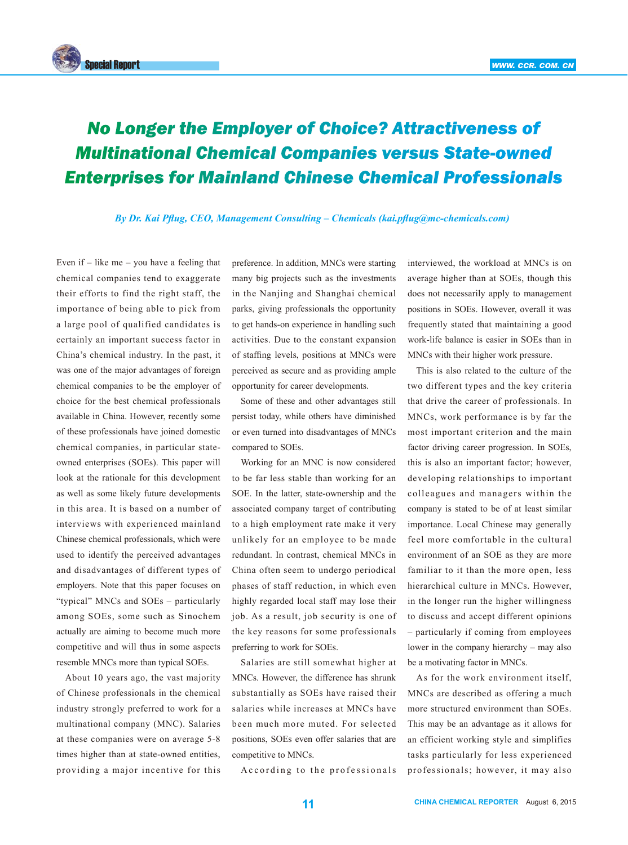

## *No Longer the Employer of Choice? Attractiveness of Multinational Chemical Companies versus State-owned Enterprises for Mainland Chinese Chemical Professionals*

*By Dr. Kai Pflug, CEO, Management Consulting – Chemicals (kai.pflug@mc-chemicals.com)*

Even if  $-$  like me  $-$  you have a feeling that chemical companies tend to exaggerate their efforts to find the right staff, the importance of being able to pick from a large pool of qualified candidates is certainly an important success factor in China's chemical industry. In the past, it was one of the major advantages of foreign chemical companies to be the employer of choice for the best chemical professionals available in China. However, recently some of these professionals have joined domestic chemical companies, in particular stateowned enterprises (SOEs). This paper will look at the rationale for this development as well as some likely future developments in this area. It is based on a number of interviews with experienced mainland Chinese chemical professionals, which were used to identify the perceived advantages and disadvantages of different types of employers. Note that this paper focuses on "typical" MNCs and SOEs – particularly among SOEs, some such as Sinochem actually are aiming to become much more competitive and will thus in some aspects resemble MNCs more than typical SOEs.

About 10 years ago, the vast majority of Chinese professionals in the chemical industry strongly preferred to work for a multinational company (MNC). Salaries at these companies were on average 5-8 times higher than at state-owned entities, providing a major incentive for this

preference. In addition, MNCs were starting many big projects such as the investments in the Nanjing and Shanghai chemical parks, giving professionals the opportunity to get hands-on experience in handling such activities. Due to the constant expansion of staffing levels, positions at MNCs were perceived as secure and as providing ample opportunity for career developments.

Some of these and other advantages still persist today, while others have diminished or even turned into disadvantages of MNCs compared to SOEs.

Working for an MNC is now considered to be far less stable than working for an SOE. In the latter, state-ownership and the associated company target of contributing to a high employment rate make it very unlikely for an employee to be made redundant. In contrast, chemical MNCs in China often seem to undergo periodical phases of staff reduction, in which even highly regarded local staff may lose their job. As a result, job security is one of the key reasons for some professionals preferring to work for SOEs.

Salaries are still somewhat higher at MNCs. However, the difference has shrunk substantially as SOEs have raised their salaries while increases at MNCs have been much more muted. For selected positions, SOEs even offer salaries that are competitive to MNCs.

A c c ording to the professionals

interviewed, the workload at MNCs is on average higher than at SOEs, though this does not necessarily apply to management positions in SOEs. However, overall it was frequently stated that maintaining a good work-life balance is easier in SOEs than in MNCs with their higher work pressure.

This is also related to the culture of the two different types and the key criteria that drive the career of professionals. In MNCs, work performance is by far the most important criterion and the main factor driving career progression. In SOEs, this is also an important factor; however, developing relationships to important colleagues and managers within the company is stated to be of at least similar importance. Local Chinese may generally feel more comfortable in the cultural environment of an SOE as they are more familiar to it than the more open, less hierarchical culture in MNCs. However, in the longer run the higher willingness to discuss and accept different opinions – particularly if coming from employees lower in the company hierarchy – may also be a motivating factor in MNCs.

As for the work environment itself, MNCs are described as offering a much more structured environment than SOEs. This may be an advantage as it allows for an efficient working style and simplifies tasks particularly for less experienced professionals; however, it may also